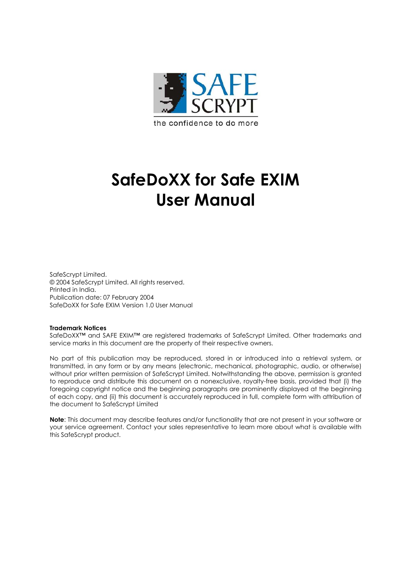

# **SafeDoXX for Safe EXIM User Manual**

SafeScrypt Limited. © 2004 SafeScrypt Limited. All rights reserved. Printed in India. Publication date: 07 February 2004 SafeDoXX for Safe EXIM Version 1.0 User Manual

#### **Trademark Notices**

SafeDoXX™ and SAFE EXIM™ are registered trademarks of SafeScrypt Limited. Other trademarks and service marks in this document are the property of their respective owners.

No part of this publication may be reproduced, stored in or introduced into a retrieval system, or transmitted, in any form or by any means (electronic, mechanical, photographic, audio, or otherwise) without prior written permission of SafeScrypt Limited. Notwithstanding the above, permission is granted to reproduce and distribute this document on a nonexclusive, royalty-free basis, provided that (i) the foregoing copyright notice and the beginning paragraphs are prominently displayed at the beginning of each copy, and (ii) this document is accurately reproduced in full, complete form with attribution of the document to SafeScrypt Limited

**Note**: This document may describe features and/or functionality that are not present in your software or your service agreement. Contact your sales representative to learn more about what is available with this SafeScrypt product.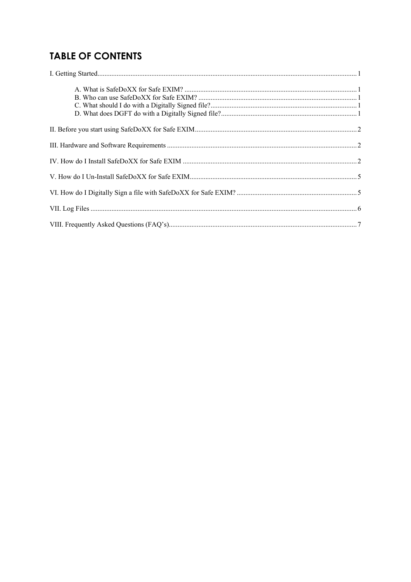# **TABLE OF CONTENTS**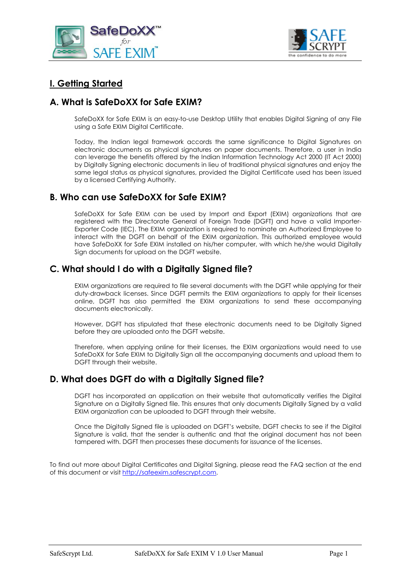<span id="page-2-0"></span>



# **I. Getting Started**

# **A. What is SafeDoXX for Safe EXIM?**

SafeDoXX for Safe EXIM is an easy-to-use Desktop Utility that enables Digital Signing of any File using a Safe EXIM Digital Certificate.

Today, the Indian legal framework accords the same significance to Digital Signatures on electronic documents as physical signatures on paper documents. Therefore, a user in India can leverage the benefits offered by the Indian Information Technology Act 2000 (IT Act 2000) by Digitally Signing electronic documents in lieu of traditional physical signatures and enjoy the same legal status as physical signatures, provided the Digital Certificate used has been issued by a licensed Certifying Authority.

# **B. Who can use SafeDoXX for Safe EXIM?**

SafeDoXX for Safe EXIM can be used by Import and Export (EXIM) organizations that are registered with the Directorate General of Foreign Trade (DGFT) and have a valid Importer-Exporter Code (IEC). The EXIM organization is required to nominate an Authorized Employee to interact with the DGFT on behalf of the EXIM organization. This authorized employee would have SafeDoXX for Safe EXIM installed on his/her computer, with which he/she would Digitally Sign documents for upload on the DGFT website.

# **C. What should I do with a Digitally Signed file?**

EXIM organizations are required to file several documents with the DGFT while applying for their duty-drawback licenses. Since DGFT permits the EXIM organizations to apply for their licenses online, DGFT has also permitted the EXIM organizations to send these accompanying documents electronically.

However, DGFT has stipulated that these electronic documents need to be Digitally Signed before they are uploaded onto the DGFT website.

Therefore, when applying online for their licenses, the EXIM organizations would need to use SafeDoXX for Safe EXIM to Digitally Sign all the accompanying documents and upload them to DGFT through their website.

### **D. What does DGFT do with a Digitally Signed file?**

DGFT has incorporated an application on their website that automatically verifies the Digital Signature on a Digitally Signed file. This ensures that only documents Digitally Signed by a valid EXIM organization can be uploaded to DGFT through their website.

Once the Digitally Signed file is uploaded on DGFT's website, DGFT checks to see if the Digital Signature is valid, that the sender is authentic and that the original document has not been tampered with. DGFT then processes these documents for issuance of the licenses.

To find out more about Digital Certificates and Digital Signing, please read the FAQ section at the end of this document or visit [http://safeexim.safescrypt.com](http://safeexim.safescrypt.com/).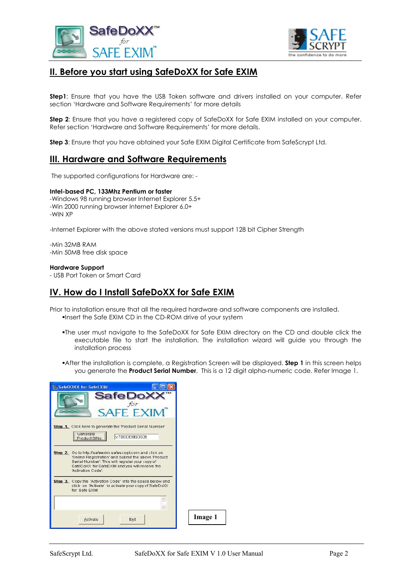<span id="page-3-0"></span>



# **II. Before you start using SafeDoXX for Safe EXIM**

**Step1**: Ensure that you have the USB Token software and drivers installed on your computer. Refer section 'Hardware and Software Requirements' for more details

**Step 2**: Ensure that you have a registered copy of SafeDoXX for Safe EXIM installed on your computer. Refer section 'Hardware and Software Requirements' for more details.

**Step 3**: Ensure that you have obtained your Safe EXIM Digital Certificate from SafeScrypt Ltd.

### **III. Hardware and Software Requirements**

The supported configurations for Hardware are: -

#### **Intel-based PC, 133Mhz Pentium or faster**

-Windows 98 running browser Internet Explorer 5.5+ -Win 2000 running browser Internet Explorer 6.0+ -WIN XP

-Internet Explorer with the above stated versions must support 128 bit Cipher Strength

-Min 32MB RAM -Min 50MB free disk space

#### **Hardware Support**

- USB Port Token or Smart Card

### **IV. How do I Install SafeDoXX for Safe EXIM**

Prior to installation ensure that all the required hardware and software components are installed. Insert the Safe EXIM CD in the CD-ROM drive of your system

- The user must navigate to the SafeDoXX for Safe EXIM directory on the CD and double click the executable file to start the installation. The installation wizard will guide you through the installation process
- After the installation is complete, a Registration Screen will be displayed. **Step 1** in this screen helps you generate the **Product Serial Number**. This is a 12 digit alpha-numeric code. Refer Image 1.

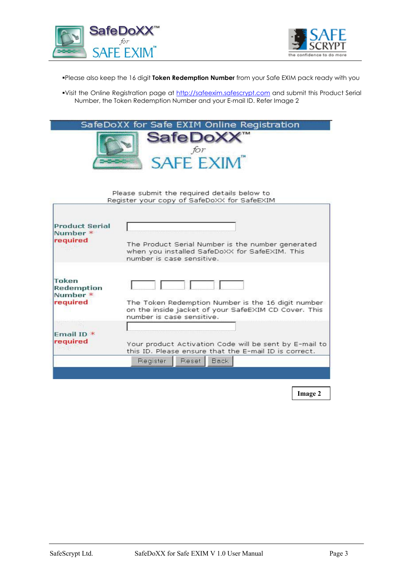



Please also keep the 16 digit **Token Redemption Number** from your Safe EXIM pack ready with you

•Visit the Online Registration page at [http://safeexim.safescrypt.com](http://safeexim.safescrypt.com/) and submit this Product Serial Number, the Token Redemption Number and your E-mail ID. Refer Image 2

|                                                           | SafeDoXX for Safe EXIM Online Registration<br><b>SafeDoXX</b><br>for<br><b>SAFE EXIM</b>                                                |
|-----------------------------------------------------------|-----------------------------------------------------------------------------------------------------------------------------------------|
|                                                           | Please submit the required details below to<br>Register your copy of SafeDoXX for SafeEXIM                                              |
| <b>Product Serial</b><br>Numher *<br>required             | The Product Serial Number is the number generated<br>when you installed SafeDoXX for SafeEXIM. This<br>number is case sensitive.        |
| <b>Token</b><br><b>Redemption</b><br>Numher *<br>required | The Token Redemption Number is the 16 digit number<br>on the inside jacket of your SafeEXIM CD Cover. This<br>numher is case sensitive. |
| Email ID $*$<br>required                                  | Your product Activation Code will be sent by E-mail to<br>this ID. Please ensure that the E-mail ID is correct.                         |
|                                                           | Reset  <br>Register<br><b>Back</b>                                                                                                      |

**Image 2**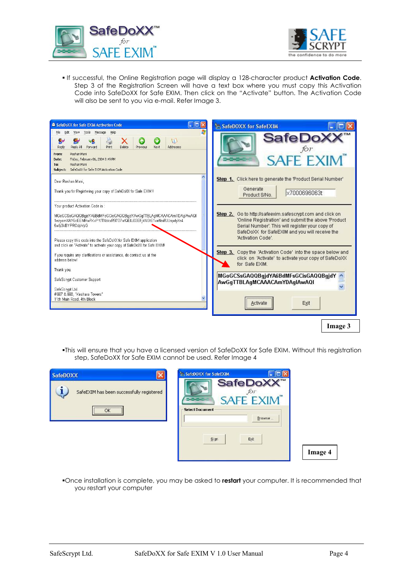



 If successful, the Online Registration page will display a 128-character product **Activation Code**. Step 3 of the Registration Screen will have a text box where you must copy this Activation Code into SafeDoXX for Safe EXIM. Then click on the "Activate" button. The Activation Code will also be sent to you via e-mail. Refer Image 3.



This will ensure that you have a licensed version of SafeDoXX for Safe EXIM. Without this registration step, SafeDoXX for Safe EXIM cannot be used. Refer Image 4

| SafeDOXX                                                                                                                           | <b>E. SafeDOXX for SafeEXIM</b>                                                                                        |         |
|------------------------------------------------------------------------------------------------------------------------------------|------------------------------------------------------------------------------------------------------------------------|---------|
| SafeEXIM has been successfully registered<br>,,,,,,,,,,,,,,,,,,,,,,,,,,,,,,,,<br>OK<br><u> Nicolaire i concerta con concerta d</u> | SafeDoXX <sup>**</sup><br>for<br><b>SAFE EXIM</b><br><b>COCOCO</b><br><b>Select Document</b><br>Browse<br>Exit<br>Sign | Image 4 |

Once installation is complete, you may be asked to **restart** your computer. It is recommended that you restart your computer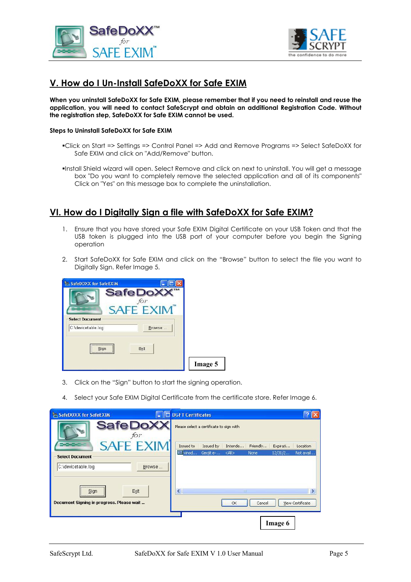<span id="page-6-0"></span>



# **V. How do I Un-Install SafeDoXX for Safe EXIM**

**When you uninstall SafeDoXX for Safe EXIM, please remember that if you need to reinstall and reuse the application, you will need to contact SafeScrypt and obtain an additional Registration Code. Without the registration step, SafeDoXX for Safe EXIM cannot be used.** 

#### **Steps to Uninstall SafeDoXX for Safe EXIM**

- Click on Start => Settings => Control Panel => Add and Remove Programs => Select SafeDoXX for Safe EXIM and click on "Add/Remove" button.
- Install Shield wizard will open. Select Remove and click on next to uninstall. You will get a message box "Do you want to completely remove the selected application and all of its components" Click on "Yes" on this message box to complete the uninstallation.

### **VI. How do I Digitally Sign a file with SafeDoXX for Safe EXIM?**

- 1. Ensure that you have stored your Safe EXIM Digital Certificate on your USB Token and that the USB token is plugged into the USB port of your computer before you begin the Signing operation
- 2. Start SafeDoXX for Safe EXIM and click on the "Browse" button to select the file you want to Digitally Sign. Refer Image 5.



- 3. Click on the "Sign" button to start the signing operation.
- 4. Select your Safe EXIM Digital Certificate from the certificate store. Refer Image 6.

| <b>E. SafeDOXX for SafeEXIM</b>                                                               | <b>DGFT Certificates</b>                                    |                       |
|-----------------------------------------------------------------------------------------------|-------------------------------------------------------------|-----------------------|
| <b>SafeDoXX</b><br>for                                                                        | Please select a certificate to sign with                    |                       |
| <b>SAFE EXIM</b>                                                                              | Issued to<br>Issued by<br>Intende<br>Friendly<br>Expirati   | Location              |
| <b>Select Document</b>                                                                        | winod<br>Geojit e- <all><br/>12/31/2<br/>None</all>         | Not avail             |
| C:\devicetable.log<br>Browse<br><br>Exit<br>Sign<br>Document Signing in progress. Please wait | $\left\langle \right\rangle$<br><b>TITT</b><br>OK<br>Cancel | ⋗<br>View Certificate |
|                                                                                               | Image 6                                                     |                       |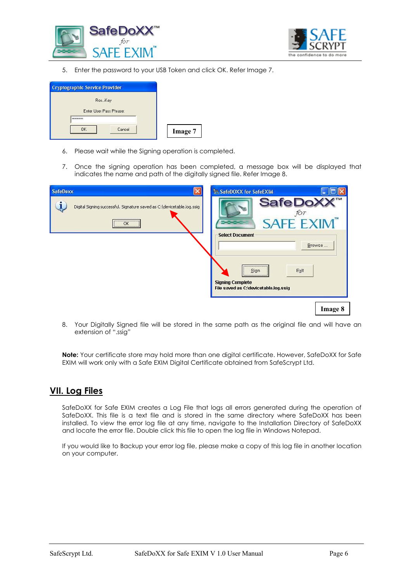<span id="page-7-0"></span>



5. Enter the password to your USB Token and click OK. Refer Image 7.

| <b>Cryptographic Service Provider</b> |                                    |         |
|---------------------------------------|------------------------------------|---------|
|                                       | RosiKey<br>Enter User Pass Phrase: |         |
| <b>XXXXXXXX</b>                       |                                    |         |
| <b>OK</b>                             | Cancel                             | Image 7 |

- 6. Please wait while the Signing operation is completed.
- 7. Once the signing operation has been completed, a message box will be displayed that indicates the name and path of the digitally signed file. Refer Image 8.

| <b>SafeDox</b>                                                                       | <b>E SafeDOXX for SafeEXIM</b>                                                                                                                                             |
|--------------------------------------------------------------------------------------|----------------------------------------------------------------------------------------------------------------------------------------------------------------------------|
| Digital Signing successful. Signature saved as C:\devicetable.log.ssig<br><br>OK<br> | <b>SafeDoX</b><br>for<br><b>SAFE EXIM</b><br><b>Select Document</b><br>Browse<br><br>Exit<br>Sign.<br><br><b>Signing Complete</b><br>File saved as C:\devicetable.log.ssig |
|                                                                                      | Image 8                                                                                                                                                                    |

8. Your Digitally Signed file will be stored in the same path as the original file and will have an extension of ".ssig"

**Note:** Your certificate store may hold more than one digital certificate. However, SafeDoXX for Safe EXIM will work only with a Safe EXIM Digital Certificate obtained from SafeScrypt Ltd.

# **VII. Log Files**

SafeDoXX for Safe EXIM creates a Log File that logs all errors generated during the operation of SafeDoXX. This file is a text file and is stored in the same directory where SafeDoXX has been installed. To view the error log file at any time, navigate to the Installation Directory of SafeDoXX and locate the error file. Double click this file to open the log file in Windows Notepad.

If you would like to Backup your error log file, please make a copy of this log file in another location on your computer.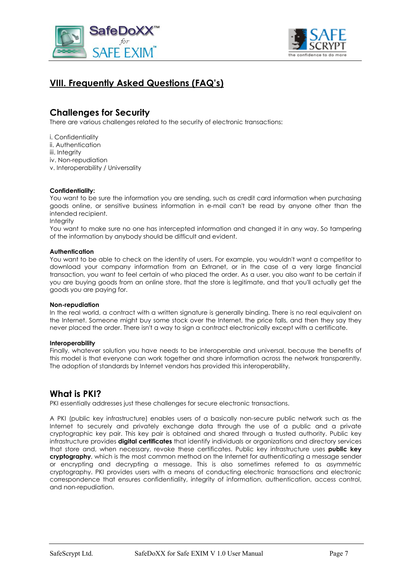<span id="page-8-0"></span>



# **VIII. Frequently Asked Questions (FAQ's)**

### **Challenges for Security**

There are various challenges related to the security of electronic transactions:

i. Confidentiality ii. Authentication iii. Integrity iv. Non-repudiation v. Interoperability / Universality

#### **Confidentiality:**

You want to be sure the information you are sending, such as credit card information when purchasing goods online, or sensitive business information in e-mail can't be read by anyone other than the intended recipient.

**Integrity** 

You want to make sure no one has intercepted information and changed it in any way. So tampering of the information by anybody should be difficult and evident.

#### **Authentication**

You want to be able to check on the identity of users. For example, you wouldn't want a competitor to download your company information from an Extranet, or in the case of a very large financial transaction, you want to feel certain of who placed the order. As a user, you also want to be certain if you are buying goods from an online store, that the store is legitimate, and that you'll actually get the goods you are paying for.

#### **Non-repudiation**

In the real world, a contract with a written signature is generally binding. There is no real equivalent on the Internet. Someone might buy some stock over the Internet, the price falls, and then they say they never placed the order. There isn't a way to sign a contract electronically except with a certificate.

#### **Interoperability**

Finally, whatever solution you have needs to be interoperable and universal, because the benefits of this model is that everyone can work together and share information across the network transparently. The adoption of standards by Internet vendors has provided this interoperability.

### **What is PKI?**

PKI essentially addresses just these challenges for secure electronic transactions.

A PKI (public key infrastructure) enables users of a basically non-secure public network such as the Internet to securely and privately exchange data through the use of a public and a private cryptographic key pair. This key pair is obtained and shared through a trusted authority. Public key infrastructure provides **digital certificates** that identify individuals or organizations and directory services that store and, when necessary, revoke these certificates. Public key infrastructure uses **public key cryptography**, which is the most common method on the Internet for authenticating a message sender or encrypting and decrypting a message. This is also sometimes referred to as asymmetric cryptography. PKI provides users with a means of conducting electronic transactions and electronic correspondence that ensures confidentiality, integrity of information, authentication, access control, and non-repudiation.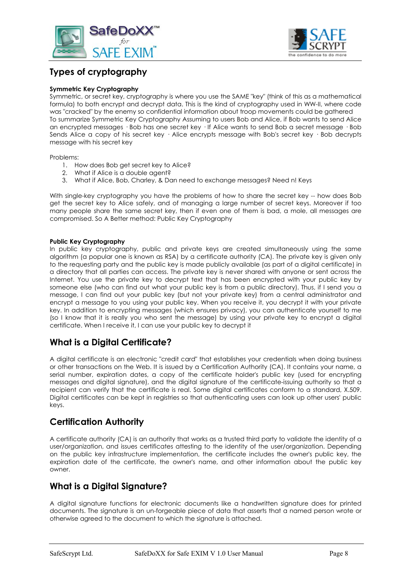



# **Types of cryptography**

#### **Symmetric Key Cryptography**

Symmetric, or secret key, cryptography is where you use the SAME "key" (think of this as a mathematical formula) to both encrypt and decrypt data. This is the kind of cryptography used in WW-II, where code was "cracked" by the enemy so confidential information about troop movements could be gathered To summarize Symmetric Key Cryptography Assuming to users Bob and Alice, if Bob wants to send Alice an encrypted messages · Bob has one secret key · If Alice wants to send Bob a secret message · Bob Sends Alice a copy of his secret key · Alice encrypts message with Bob's secret key · Bob decrypts message with his secret key

Problems:

- 1. How does Bob get secret key to Alice?
- 2. What if Alice is a double agent?
- 3. What if Alice, Bob, Charley, & Dan need to exchange messages? Need n! Keys

With single-key cryptography you have the problems of how to share the secret key -- how does Bob get the secret key to Alice safely, and of managing a large number of secret keys. Moreover if too many people share the same secret key, then if even one of them is bad, a mole, all messages are compromised. So A Better method: Public Key Cryptography

#### **Public Key Cryptography**

In public key cryptography, public and private keys are created simultaneously using the same algorithm (a popular one is known as RSA) by a certificate authority (CA). The private key is given only to the requesting party and the public key is made publicly available (as part of a digital certificate) in a directory that all parties can access. The private key is never shared with anyone or sent across the Internet. You use the private key to decrypt text that has been encrypted with your public key by someone else (who can find out what your public key is from a public directory). Thus, if I send you a message, I can find out your public key (but not your private key) from a central administrator and encrypt a message to you using your public key. When you receive it, you decrypt it with your private key. In addition to encrypting messages (which ensures privacy), you can authenticate yourself to me (so I know that it is really you who sent the message) by using your private key to encrypt a digital certificate. When I receive it, I can use your public key to decrypt it

### **What is a Digital Certificate?**

A digital certificate is an electronic "credit card" that establishes your credentials when doing business or other transactions on the Web. It is issued by a Certification Authority (CA). It contains your name, a serial number, expiration dates, a copy of the certificate holder's public key (used for encrypting messages and digital signature), and the digital signature of the certificate-issuing authority so that a recipient can verify that the certificate is real. Some digital certificates conform to a standard, X.509. Digital certificates can be kept in registries so that authenticating users can look up other users' public keys.

### **Certification Authority**

A certificate authority (CA) is an authority that works as a trusted third party to validate the identity of a user/organization, and issues certificates attesting to the identity of the user/organization. Depending on the public key infrastructure implementation, the certificate includes the owner's public key, the expiration date of the certificate, the owner's name, and other information about the public key owner.

### **What is a Digital Signature?**

A digital signature functions for electronic documents like a handwritten signature does for printed documents. The signature is an un-forgeable piece of data that asserts that a named person wrote or otherwise agreed to the document to which the signature is attached.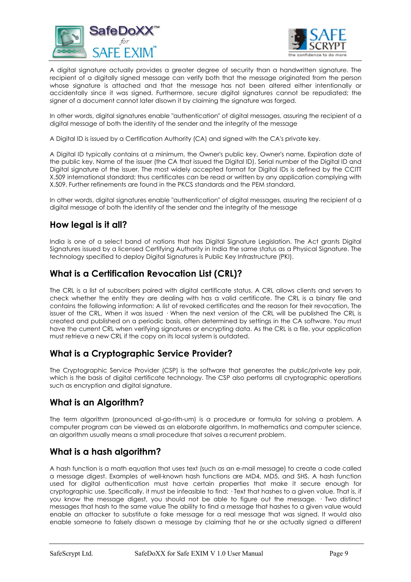



A digital signature actually provides a greater degree of security than a handwritten signature. The recipient of a digitally signed message can verify both that the message originated from the person whose signature is attached and that the message has not been altered either intentionally or accidentally since it was signed. Furthermore, secure digital signatures cannot be repudiated; the signer of a document cannot later disown it by claiming the signature was forged.

In other words, digital signatures enable "authentication" of digital messages, assuring the recipient of a digital message of both the identity of the sender and the integrity of the message

A Digital ID is issued by a Certification Authority (CA) and signed with the CA's private key.

A Digital ID typically contains at a minimum, the Owner's public key, Owner's name, Expiration date of the public key, Name of the issuer (the CA that issued the Digital ID), Serial number of the Digital ID and Digital signature of the issuer. The most widely accepted format for Digital IDs is defined by the CCITT X.509 international standard; thus certificates can be read or written by any application complying with X.509. Further refinements are found in the PKCS standards and the PEM standard.

In other words, digital signatures enable "authentication" of digital messages, assuring the recipient of a digital message of both the identity of the sender and the integrity of the message

# **How legal is it all?**

India is one of a select band of nations that has Digital Signature Legislation. The Act grants Digital Signatures issued by a licensed Certifying Authority in India the same status as a Physical Signature. The technology specified to deploy Digital Signatures is Public Key Infrastructure (PKI).

# **What is a Certification Revocation List (CRL)?**

The CRL is a list of subscribers paired with digital certificate status. A CRL allows clients and servers to check whether the entity they are dealing with has a valid certificate. The CRL is a binary file and contains the following information: A list of revoked certificates and the reason for their revocation, The issuer of the CRL, When it was issued · When the next version of the CRL will be published The CRL is created and published on a periodic basis, often determined by settings in the CA software. You must have the current CRL when verifying signatures or encrypting data. As the CRL is a file, your application must retrieve a new CRL if the copy on its local system is outdated.

# **What is a Cryptographic Service Provider?**

The Cryptographic Service Provider (CSP) is the software that generates the public/private key pair, which is the basis of digital certificate technology. The CSP also performs all cryptographic operations such as encryption and digital signature.

# **What is an Algorithm?**

The term algorithm (pronounced al-go-rith-um) is a procedure or formula for solving a problem. A computer program can be viewed as an elaborate algorithm. In mathematics and computer science, an algorithm usually means a small procedure that solves a recurrent problem.

# **What is a hash algorithm?**

A hash function is a math equation that uses text (such as an e-mail message) to create a code called a message digest. Examples of well-known hash functions are MD4, MD5, and SHS. A hash function used for digital authentication must have certain properties that make it secure enough for cryptographic use. Specifically, it must be infeasible to find: · Text that hashes to a given value. That is, if you know the message digest, you should not be able to figure out the message. · Two distinct messages that hash to the same value The ability to find a message that hashes to a given value would enable an attacker to substitute a fake message for a real message that was signed. It would also enable someone to falsely disown a message by claiming that he or she actually signed a different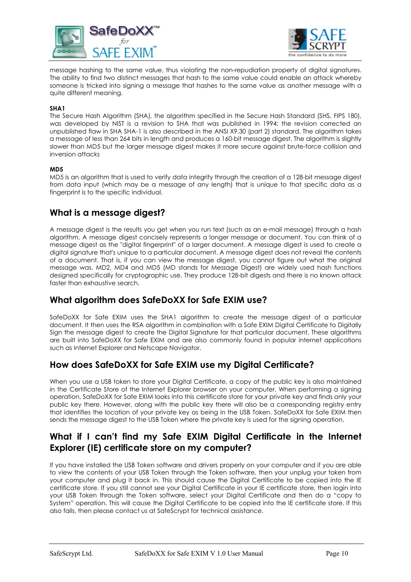



message hashing to the same value, thus violating the non-repudiation property of digital signatures. The ability to find two distinct messages that hash to the same value could enable an attack whereby someone is tricked into signing a message that hashes to the same value as another message with a quite different meaning.

#### **SHA1**

The Secure Hash Algorithm (SHA), the algorithm specified in the Secure Hash Standard (SHS, FIPS 180), was developed by NIST is a revision to SHA that was published in 1994; the revision corrected an unpublished flaw in SHA SHA-1 is also described in the ANSI X9.30 (part 2) standard. The algorithm takes a message of less than 264 bits in length and produces a 160-bit message digest. The algorithm is slightly slower than MD5 but the larger message digest makes it more secure against brute-force collision and inversion attacks

#### **MD5**

MD5 is an algorithm that is used to verify data integrity through the creation of a 128-bit message digest from data input (which may be a message of any length) that is unique to that specific data as a fingerprint is to the specific individual.

### **What is a message digest?**

A message digest is the results you get when you run text (such as an e-mail message) through a hash algorithm. A message digest concisely represents a longer message or document. You can think of a message digest as the "digital fingerprint" of a larger document. A message digest is used to create a digital signature that's unique to a particular document. A message digest does not reveal the contents of a document. That is, if you can view the message digest, you cannot figure out what the original message was. MD2, MD4 and MD5 (MD stands for Message Digest) are widely used hash functions designed specifically for cryptographic use. They produce 128-bit digests and there is no known attack faster than exhaustive search.

### **What algorithm does SafeDoXX for Safe EXIM use?**

SafeDoXX for Safe EXIM uses the SHA1 algorithm to create the message digest of a particular document. It then uses the RSA algorithm in combination with a Safe EXIM Digital Certificate to Digitally Sign the message digest to create the Digital Signature for that particular document. These algorithms are built into SafeDoXX for Safe EXIM and are also commonly found in popular internet applications such as Internet Explorer and Netscape Navigator.

### **How does SafeDoXX for Safe EXIM use my Digital Certificate?**

When you use a USB token to store your Digital Certificate, a copy of the public key is also maintained in the Certificate Store of the Internet Explorer browser on your computer. When performing a signing operation, SafeDoXX for Safe EXIM looks into this certificate store for your private key and finds only your public key there. However, along with the public key there will also be a corresponding registry entry that identifies the location of your private key as being in the USB Token. SafeDoXX for Safe EXIM then sends the message digest to the USB Token where the private key is used for the signing operation.

# **What if I can't find my Safe EXIM Digital Certificate in the Internet Explorer (IE) certificate store on my computer?**

If you have installed the USB Token software and drivers properly on your computer and if you are able to view the contents of your USB Token through the Token software, then your unplug your token from your computer and plug it back in. This should cause the Digital Certificate to be copied into the IE certificate store. If you still cannot see your Digital Certificate in your IE certificate store, then login into your USB Token through the Token software, select your Digital Certificate and then do a "copy to System" operation. This will cause the Digital Certificate to be copied into the IE certificate store. If this also fails, then please contact us at SafeScrypt for technical assistance.